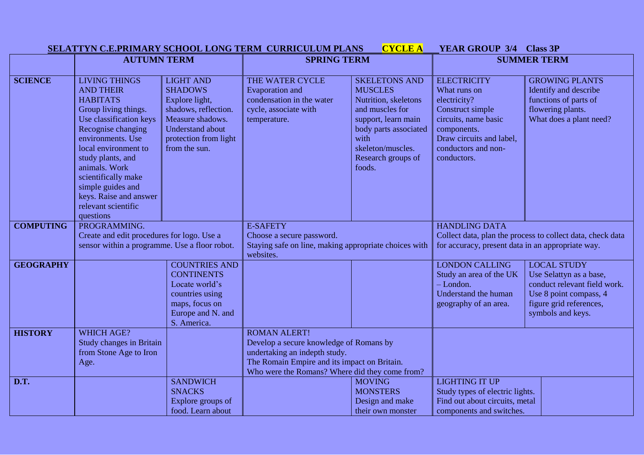|                  |                                                                                                                                                                                                                                                                                                                                   |                                                                                                                                                                       | SELATTYN C.E.PRIMARY SCHOOL LONG TERM CURRICULUM PLANS                                                                                                                                            | <b>CYCLE A</b>                                                                                                                                                                                 | <b>YEAR GROUP 3/4 Class 3P</b>                                                                                                                                                  |                                                                                                                                                         |
|------------------|-----------------------------------------------------------------------------------------------------------------------------------------------------------------------------------------------------------------------------------------------------------------------------------------------------------------------------------|-----------------------------------------------------------------------------------------------------------------------------------------------------------------------|---------------------------------------------------------------------------------------------------------------------------------------------------------------------------------------------------|------------------------------------------------------------------------------------------------------------------------------------------------------------------------------------------------|---------------------------------------------------------------------------------------------------------------------------------------------------------------------------------|---------------------------------------------------------------------------------------------------------------------------------------------------------|
|                  | <b>AUTUMN TERM</b>                                                                                                                                                                                                                                                                                                                |                                                                                                                                                                       | <b>SPRING TERM</b>                                                                                                                                                                                |                                                                                                                                                                                                | <b>SUMMER TERM</b>                                                                                                                                                              |                                                                                                                                                         |
| <b>SCIENCE</b>   | <b>LIVING THINGS</b><br><b>AND THEIR</b><br><b>HABITATS</b><br>Group living things.<br>Use classification keys<br>Recognise changing<br>environments. Use<br>local environment to<br>study plants, and<br>animals. Work<br>scientifically make<br>simple guides and<br>keys. Raise and answer<br>relevant scientific<br>questions | <b>LIGHT AND</b><br><b>SHADOWS</b><br>Explore light,<br>shadows, reflection.<br>Measure shadows.<br><b>Understand about</b><br>protection from light<br>from the sun. | THE WATER CYCLE<br><b>Evaporation</b> and<br>condensation in the water<br>cycle, associate with<br>temperature.                                                                                   | <b>SKELETONS AND</b><br><b>MUSCLES</b><br>Nutrition, skeletons<br>and muscles for<br>support, learn main<br>body parts associated<br>with<br>skeleton/muscles.<br>Research groups of<br>foods. | <b>ELECTRICITY</b><br>What runs on<br>electricity?<br>Construct simple<br>circuits, name basic<br>components.<br>Draw circuits and label,<br>conductors and non-<br>conductors. | <b>GROWING PLANTS</b><br>Identify and describe<br>functions of parts of<br>flowering plants.<br>What does a plant need?                                 |
| <b>COMPUTING</b> | PROGRAMMING.<br>Create and edit procedures for logo. Use a<br>sensor within a programme. Use a floor robot.                                                                                                                                                                                                                       |                                                                                                                                                                       | <b>E-SAFETY</b><br>Choose a secure password.<br>Staying safe on line, making appropriate choices with<br>websites.                                                                                |                                                                                                                                                                                                | <b>HANDLING DATA</b><br>Collect data, plan the process to collect data, check data<br>for accuracy, present data in an appropriate way.                                         |                                                                                                                                                         |
| <b>GEOGRAPHY</b> |                                                                                                                                                                                                                                                                                                                                   | <b>COUNTRIES AND</b><br><b>CONTINENTS</b><br>Locate world's<br>countries using<br>maps, focus on<br>Europe and N. and<br>S. America.                                  |                                                                                                                                                                                                   |                                                                                                                                                                                                | <b>LONDON CALLING</b><br>Study an area of the UK<br>$-London.$<br>Understand the human<br>geography of an area.                                                                 | <b>LOCAL STUDY</b><br>Use Selattyn as a base,<br>conduct relevant field work.<br>Use 8 point compass, 4<br>figure grid references,<br>symbols and keys. |
| <b>HISTORY</b>   | <b>WHICH AGE?</b><br><b>Study changes in Britain</b><br>from Stone Age to Iron<br>Age.                                                                                                                                                                                                                                            |                                                                                                                                                                       | <b>ROMAN ALERT!</b><br>Develop a secure knowledge of Romans by<br>undertaking an indepth study.<br>The Romain Empire and its impact on Britain.<br>Who were the Romans? Where did they come from? |                                                                                                                                                                                                |                                                                                                                                                                                 |                                                                                                                                                         |
| D.T.             |                                                                                                                                                                                                                                                                                                                                   | <b>SANDWICH</b><br><b>SNACKS</b><br>Explore groups of<br>food. Learn about                                                                                            |                                                                                                                                                                                                   | <b>MOVING</b><br><b>MONSTERS</b><br>Design and make<br>their own monster                                                                                                                       | <b>LIGHTING IT UP</b><br>Study types of electric lights.<br>Find out about circuits, metal<br>components and switches.                                                          |                                                                                                                                                         |